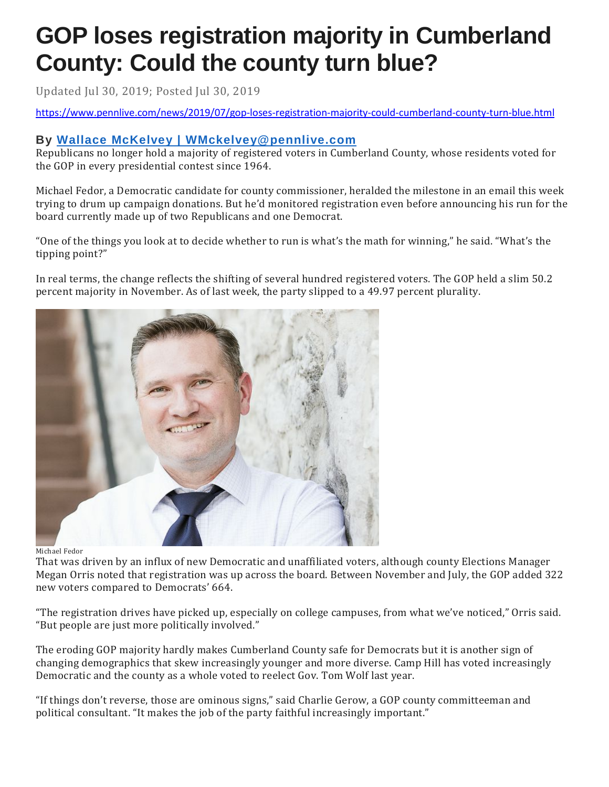## **GOP loses registration majority in Cumberland County: Could the county turn blue?**

Updated Jul 30, 2019; Posted Jul 30, 2019

<https://www.pennlive.com/news/2019/07/gop-loses-registration-majority-could-cumberland-county-turn-blue.html>

## **By Wallace McKelvey | [WMckelvey@pennlive.com](http://connect.pennlive.com/staff/wmckelvey/posts.html)**

Republicans no longer hold a majority of registered voters in Cumberland County, whose residents voted for the GOP in every presidential contest since 1964.

Michael Fedor, a Democratic candidate for county commissioner, heralded the milestone in an email this week trying to drum up campaign donations. But he'd monitored registration even before announcing his run for the board currently made up of two Republicans and one Democrat.

"One of the things you look at to decide whether to run is what's the math for winning," he said. "What's the tipping point?"

In real terms, the change reflects the shifting of several hundred registered voters. The GOP held a slim 50.2 percent majority in November. As of last week, the party slipped to a 49.97 percent plurality.



Michael Fedor

That was driven by an influx of new Democratic and unaffiliated voters, although county Elections Manager Megan Orris noted that registration was up across the board. Between November and July, the GOP added 322 new voters compared to Democrats' 664.

"The registration drives have picked up, especially on college campuses, from what we've noticed," Orris said. "But people are just more politically involved."

The eroding GOP majority hardly makes Cumberland County safe for Democrats but it is another sign of changing demographics that skew increasingly younger and more diverse. Camp Hill has voted increasingly Democratic and the county as a whole voted to reelect Gov. Tom Wolf last year.

"If things don't reverse, those are ominous signs," said Charlie Gerow, a GOP county committeeman and political consultant. "It makes the job of the party faithful increasingly important."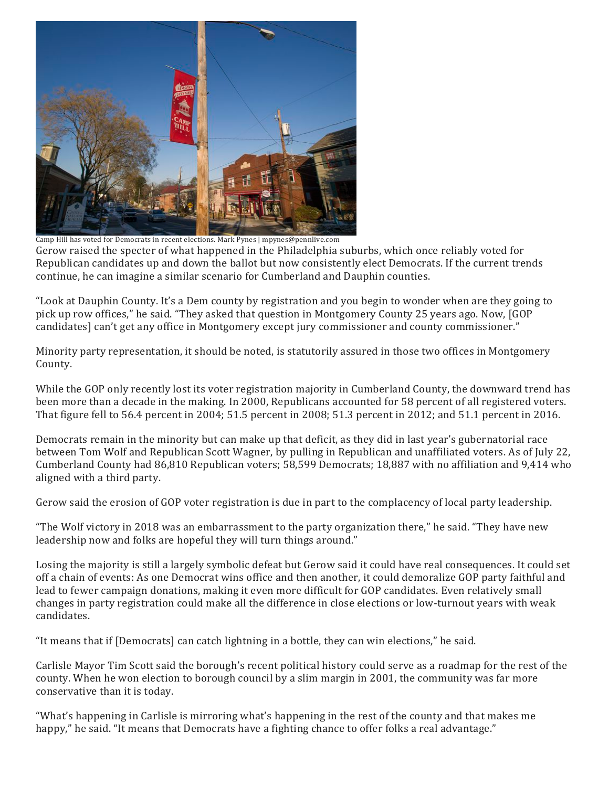

Camp Hill has voted for Democrats in recent elections. Mark Pynes | mpynes@pennlive.com

Gerow raised the specter of what happened in the Philadelphia suburbs, which once reliably voted for Republican candidates up and down the ballot but now consistently elect Democrats. If the current trends continue, he can imagine a similar scenario for Cumberland and Dauphin counties.

"Look at Dauphin County. It's a Dem county by registration and you begin to wonder when are they going to pick up row offices," he said. "They asked that question in Montgomery County 25 years ago. Now, [GOP candidates] can't get any office in Montgomery except jury commissioner and county commissioner."

Minority party representation, it should be noted, is statutorily assured in those two offices in Montgomery County.

While the GOP only recently lost its voter registration majority in Cumberland County, the downward trend has been more than a decade in the making. In 2000, Republicans accounted for 58 percent of all registered voters. That figure fell to 56.4 percent in 2004; 51.5 percent in 2008; 51.3 percent in 2012; and 51.1 percent in 2016.

Democrats remain in the minority but can make up that deficit, as they did in last year's gubernatorial race between Tom Wolf and Republican Scott Wagner, by pulling in Republican and unaffiliated voters. As of July 22, Cumberland County had 86,810 Republican voters; 58,599 Democrats; 18,887 with no affiliation and 9,414 who aligned with a third party.

Gerow said the erosion of GOP voter registration is due in part to the complacency of local party leadership.

"The Wolf victory in 2018 was an embarrassment to the party organization there," he said. "They have new leadership now and folks are hopeful they will turn things around."

Losing the majority is still a largely symbolic defeat but Gerow said it could have real consequences. It could set off a chain of events: As one Democrat wins office and then another, it could demoralize GOP party faithful and lead to fewer campaign donations, making it even more difficult for GOP candidates. Even relatively small changes in party registration could make all the difference in close elections or low-turnout years with weak candidates.

"It means that if [Democrats] can catch lightning in a bottle, they can win elections," he said.

Carlisle Mayor Tim Scott said the borough's recent political history could serve as a roadmap for the rest of the county. When he won election to borough council by a slim margin in 2001, the community was far more conservative than it is today.

"What's happening in Carlisle is mirroring what's happening in the rest of the county and that makes me happy," he said. "It means that Democrats have a fighting chance to offer folks a real advantage."